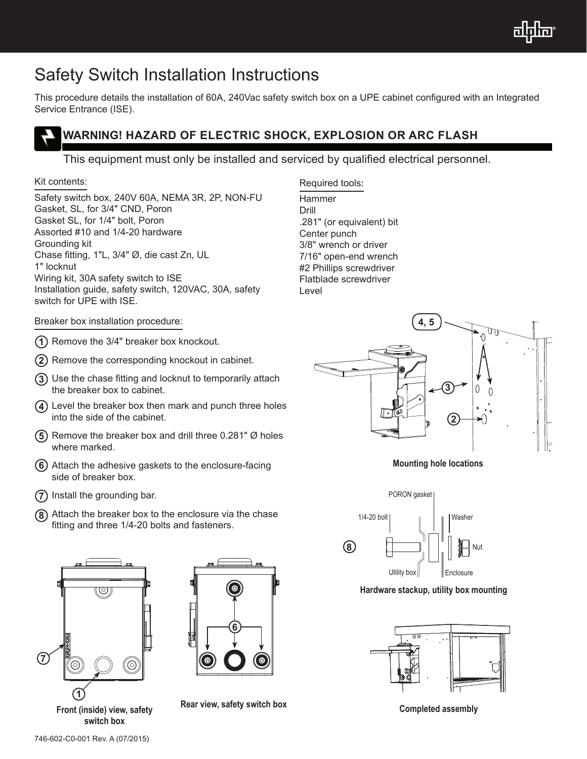

# Safety Switch Installation Instructions

This procedure details the installation of 60A, 240Vac safety switch box on a UPE cabinet configured with an Integrated Service Entrance (ISE).



## **WARNING! HAZARD OF ELECTRIC SHOCK, EXPLOSION OR ARC FLASH**

### This equipment must only be installed and serviced by qualified electrical personnel.

#### Kit contents:

Safety switch box, 240V 60A, NEMA 3R, 2P, NON-FU Gasket, SL, for 3/4" CND, Poron Gasket SL, for 1/4" bolt, Poron Assorted #10 and 1/4-20 hardware Grounding kit Chase fitting, 1"L, 3/4" Ø, die cast Zn, UL 1" locknut Wiring kit, 30A safety switch to ISE Installation guide, safety switch, 120VAC, 30A, safety switch for UPE with ISE.

Breaker box installation procedure:

- Remove the 3/4" breaker box knockout. **1**
- 2) Remove the corresponding knockout in cabinet.
- Use the chase fitting and locknut to temporarily attach **3** the breaker box to cabinet.
- Level the breaker box then mark and punch three holes **4** into the side of the cabinet.
- 5) Remove the breaker box and drill three 0.281" Ø holes where marked.
- Attach the adhesive gaskets to the enclosure-facing **6** side of breaker box.
- **7)** Install the grounding bar.
- Attach the breaker box to the enclosure via the chase **8**fitting and three 1/4-20 bolts and fasteners.



**Front (inside) view, safety switch box**



**Rear view, safety switch box**

Required tools:

Hammer Drill .281" (or equivalent) bit Center punch 3/8" wrench or driver 7/16" open-end wrench #2 Phillips screwdriver Flatblade screwdriver Level



**Mounting hole locations**



**Hardware stackup, utility box mounting**



**Completed assembly**